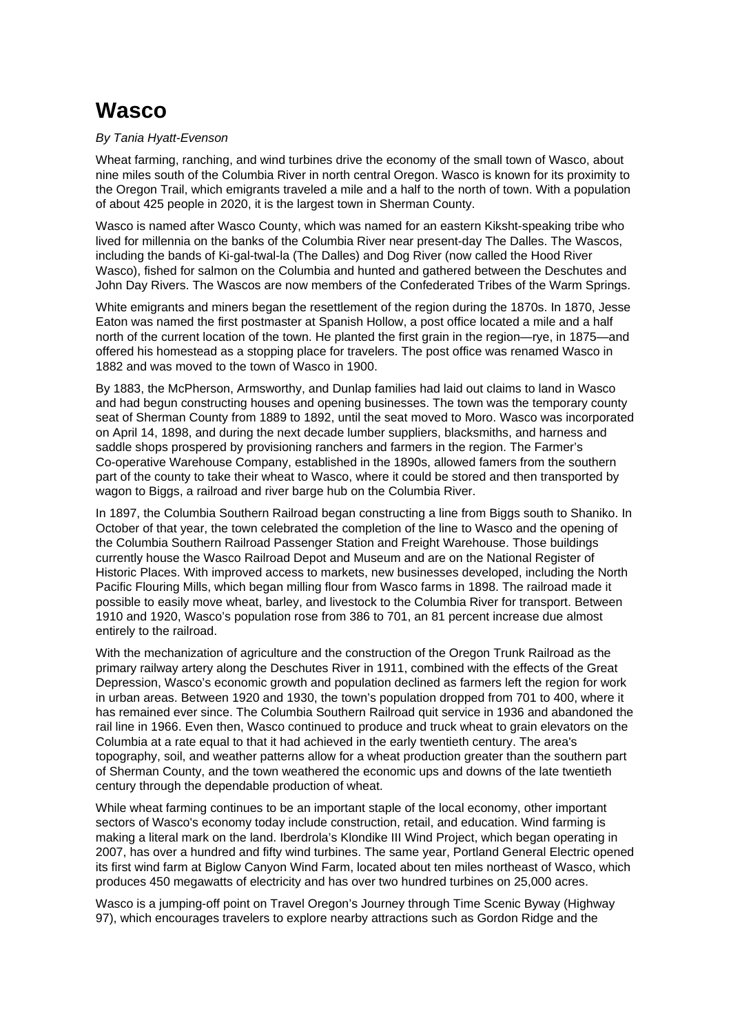## **Wasco**

## By Tania Hyatt-Evenson

Wheat farming, ranching, and wind turbines drive the economy of the small town of Wasco, about nine miles south of the Columbia River in north central Oregon. Wasco is known for its proximity to the Oregon Trail, which emigrants traveled a mile and a half to the north of town. With a population of about 425 people in 2020, it is the largest town in Sherman County.

Wasco is named after Wasco County, which was named for an eastern Kiksht-speaking tribe who lived for millennia on the banks of the Columbia River near present-day The Dalles. The Wascos, including the bands of Ki-gal-twal-la (The Dalles) and Dog River (now called the Hood River Wasco), fished for salmon on the Columbia and hunted and gathered between the Deschutes and John Day Rivers. The Wascos are now members of the Confederated Tribes of the Warm Springs.

White emigrants and miners began the resettlement of the region during the 1870s. In 1870, Jesse Eaton was named the first postmaster at Spanish Hollow, a post office located a mile and a half north of the current location of the town. He planted the first grain in the region—rye, in 1875—and offered his homestead as a stopping place for travelers. The post office was renamed Wasco in 1882 and was moved to the town of Wasco in 1900.

By 1883, the McPherson, Armsworthy, and Dunlap families had laid out claims to land in Wasco and had begun constructing houses and opening businesses. The town was the temporary county seat of Sherman County from 1889 to 1892, until the seat moved to Moro. Wasco was incorporated on April 14, 1898, and during the next decade lumber suppliers, blacksmiths, and harness and saddle shops prospered by provisioning ranchers and farmers in the region. The Farmer's Co-operative Warehouse Company, established in the 1890s, allowed famers from the southern part of the county to take their wheat to Wasco, where it could be stored and then transported by wagon to Biggs, a railroad and river barge hub on the Columbia River.

In 1897, the Columbia Southern Railroad began constructing a line from Biggs south to Shaniko. In October of that year, the town celebrated the completion of the line to Wasco and the opening of the Columbia Southern Railroad Passenger Station and Freight Warehouse. Those buildings currently house the Wasco Railroad Depot and Museum and are on the National Register of Historic Places. With improved access to markets, new businesses developed, including the North Pacific Flouring Mills, which began milling flour from Wasco farms in 1898. The railroad made it possible to easily move wheat, barley, and livestock to the Columbia River for transport. Between 1910 and 1920, Wasco's population rose from 386 to 701, an 81 percent increase due almost entirely to the railroad.

With the mechanization of agriculture and the construction of the Oregon Trunk Railroad as the primary railway artery along the Deschutes River in 1911, combined with the effects of the Great Depression, Wasco's economic growth and population declined as farmers left the region for work in urban areas. Between 1920 and 1930, the town's population dropped from 701 to 400, where it has remained ever since. The Columbia Southern Railroad quit service in 1936 and abandoned the rail line in 1966. Even then, Wasco continued to produce and truck wheat to grain elevators on the Columbia at a rate equal to that it had achieved in the early twentieth century. The area's topography, soil, and weather patterns allow for a wheat production greater than the southern part of Sherman County, and the town weathered the economic ups and downs of the late twentieth century through the dependable production of wheat.

While wheat farming continues to be an important staple of the local economy, other important sectors of Wasco's economy today include construction, retail, and education. Wind farming is making a literal mark on the land. Iberdrola's Klondike III Wind Project, which began operating in 2007, has over a hundred and fifty wind turbines. The same year, Portland General Electric opened its first wind farm at Biglow Canyon Wind Farm, located about ten miles northeast of Wasco, which produces 450 megawatts of electricity and has over two hundred turbines on 25,000 acres.

Wasco is a jumping-off point on Travel Oregon's Journey through Time Scenic Byway (Highway 97), which encourages travelers to explore nearby attractions such as Gordon Ridge and the